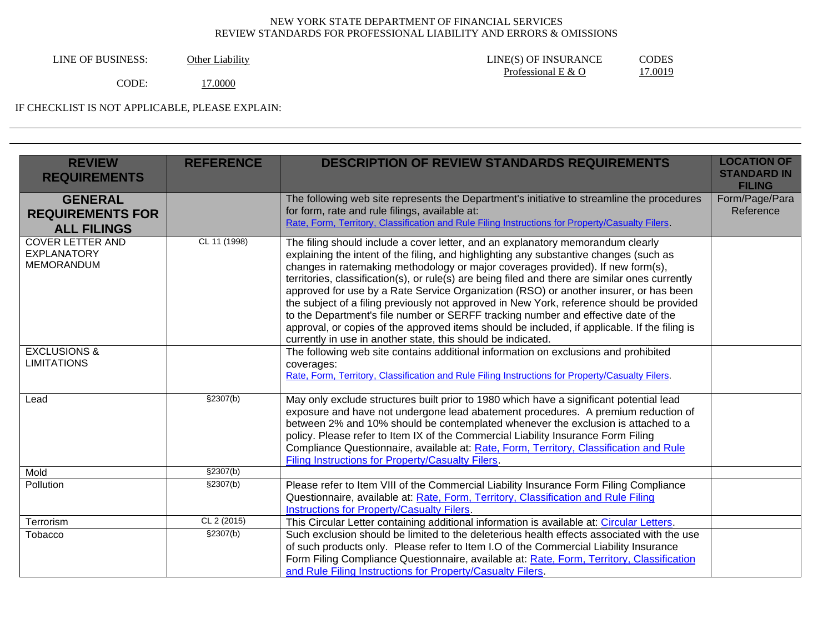| Other Liability |  |
|-----------------|--|
|                 |  |

LINE OF BUSINESS: Other Liability LINE(S) OF INSURANCE CODES<br>Professional E & O 17.0019 Professional E &  $O$ 

CODE: 17.0000

IF CHECKLIST IS NOT APPLICABLE, PLEASE EXPLAIN:

| <b>REVIEW</b><br><b>REQUIREMENTS</b>                               | <b>REFERENCE</b> | <b>DESCRIPTION OF REVIEW STANDARDS REQUIREMENTS</b>                                                                                                                                                                                                                                                                                                                                                                                                                                                                                                                                                                                                                                                                                                                                                          | <b>LOCATION OF</b><br><b>STANDARD IN</b><br><b>FILING</b> |
|--------------------------------------------------------------------|------------------|--------------------------------------------------------------------------------------------------------------------------------------------------------------------------------------------------------------------------------------------------------------------------------------------------------------------------------------------------------------------------------------------------------------------------------------------------------------------------------------------------------------------------------------------------------------------------------------------------------------------------------------------------------------------------------------------------------------------------------------------------------------------------------------------------------------|-----------------------------------------------------------|
| <b>GENERAL</b><br><b>REQUIREMENTS FOR</b><br><b>ALL FILINGS</b>    |                  | The following web site represents the Department's initiative to streamline the procedures<br>for form, rate and rule filings, available at:<br>Rate, Form, Territory, Classification and Rule Filing Instructions for Property/Casualty Filers                                                                                                                                                                                                                                                                                                                                                                                                                                                                                                                                                              | Form/Page/Para<br>Reference                               |
| <b>COVER LETTER AND</b><br><b>EXPLANATORY</b><br><b>MEMORANDUM</b> | CL 11 (1998)     | The filing should include a cover letter, and an explanatory memorandum clearly<br>explaining the intent of the filing, and highlighting any substantive changes (such as<br>changes in ratemaking methodology or major coverages provided). If new form(s),<br>territories, classification(s), or rule(s) are being filed and there are similar ones currently<br>approved for use by a Rate Service Organization (RSO) or another insurer, or has been<br>the subject of a filing previously not approved in New York, reference should be provided<br>to the Department's file number or SERFF tracking number and effective date of the<br>approval, or copies of the approved items should be included, if applicable. If the filing is<br>currently in use in another state, this should be indicated. |                                                           |
| <b>EXCLUSIONS &amp;</b><br><b>LIMITATIONS</b>                      |                  | The following web site contains additional information on exclusions and prohibited<br>coverages:<br>Rate, Form, Territory, Classification and Rule Filing Instructions for Property/Casualty Filers.                                                                                                                                                                                                                                                                                                                                                                                                                                                                                                                                                                                                        |                                                           |
| Lead                                                               | \$2307(b)        | May only exclude structures built prior to 1980 which have a significant potential lead<br>exposure and have not undergone lead abatement procedures. A premium reduction of<br>between 2% and 10% should be contemplated whenever the exclusion is attached to a<br>policy. Please refer to Item IX of the Commercial Liability Insurance Form Filing<br>Compliance Questionnaire, available at: Rate, Form, Territory, Classification and Rule<br>Filing Instructions for Property/Casualty Filers.                                                                                                                                                                                                                                                                                                        |                                                           |
| Mold                                                               | \$2307(b)        |                                                                                                                                                                                                                                                                                                                                                                                                                                                                                                                                                                                                                                                                                                                                                                                                              |                                                           |
| Pollution                                                          | \$2307(b)        | Please refer to Item VIII of the Commercial Liability Insurance Form Filing Compliance<br>Questionnaire, available at: Rate, Form, Territory, Classification and Rule Filing<br><b>Instructions for Property/Casualty Filers.</b>                                                                                                                                                                                                                                                                                                                                                                                                                                                                                                                                                                            |                                                           |
| Terrorism                                                          | CL 2 (2015)      | This Circular Letter containing additional information is available at: Circular Letters.                                                                                                                                                                                                                                                                                                                                                                                                                                                                                                                                                                                                                                                                                                                    |                                                           |
| Tobacco                                                            | \$2307(b)        | Such exclusion should be limited to the deleterious health effects associated with the use<br>of such products only. Please refer to Item I.O of the Commercial Liability Insurance<br>Form Filing Compliance Questionnaire, available at: Rate, Form, Territory, Classification<br>and Rule Filing Instructions for Property/Casualty Filers.                                                                                                                                                                                                                                                                                                                                                                                                                                                               |                                                           |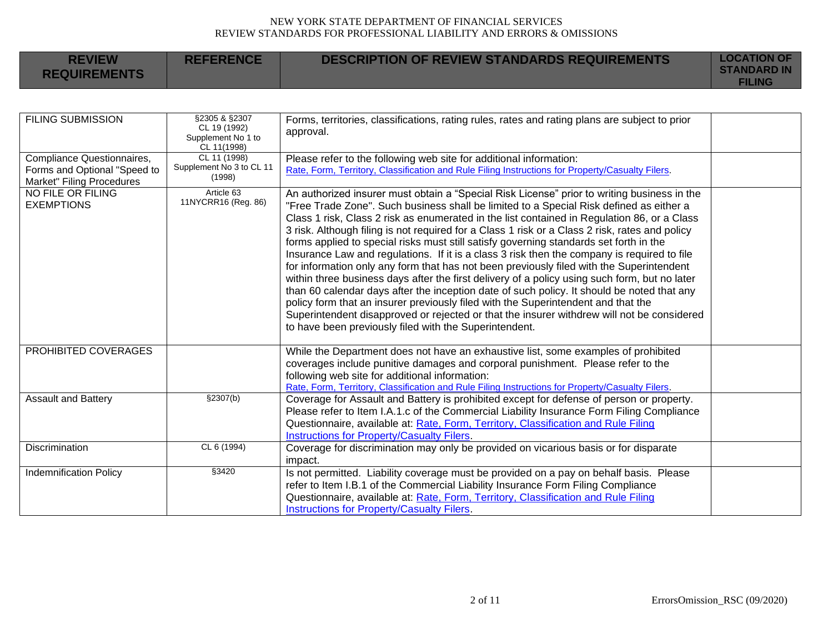| <b>REVIEW</b><br><b>REQUIREMENTS</b>                                                    | <b>REFERENCE</b>                                                   | <b>DESCRIPTION OF REVIEW STANDARDS REQUIREMENTS</b>                                                                                                                                                                                                                                                                                                                                                                                                                                                                                                                                                                                                                                                                                                                                                                                                                                                                                                                                                                                                                                                                      | <b>LOCATION OF</b><br><b>STANDARD IN</b><br><b>FILING</b> |
|-----------------------------------------------------------------------------------------|--------------------------------------------------------------------|--------------------------------------------------------------------------------------------------------------------------------------------------------------------------------------------------------------------------------------------------------------------------------------------------------------------------------------------------------------------------------------------------------------------------------------------------------------------------------------------------------------------------------------------------------------------------------------------------------------------------------------------------------------------------------------------------------------------------------------------------------------------------------------------------------------------------------------------------------------------------------------------------------------------------------------------------------------------------------------------------------------------------------------------------------------------------------------------------------------------------|-----------------------------------------------------------|
|                                                                                         |                                                                    |                                                                                                                                                                                                                                                                                                                                                                                                                                                                                                                                                                                                                                                                                                                                                                                                                                                                                                                                                                                                                                                                                                                          |                                                           |
| <b>FILING SUBMISSION</b>                                                                | §2305 & §2307<br>CL 19 (1992)<br>Supplement No 1 to<br>CL 11(1998) | Forms, territories, classifications, rating rules, rates and rating plans are subject to prior<br>approval.                                                                                                                                                                                                                                                                                                                                                                                                                                                                                                                                                                                                                                                                                                                                                                                                                                                                                                                                                                                                              |                                                           |
| Compliance Questionnaires,<br>Forms and Optional "Speed to<br>Market" Filing Procedures | CL 11 (1998)<br>Supplement No 3 to CL 11<br>(1998)                 | Please refer to the following web site for additional information:<br>Rate, Form, Territory, Classification and Rule Filing Instructions for Property/Casualty Filers.                                                                                                                                                                                                                                                                                                                                                                                                                                                                                                                                                                                                                                                                                                                                                                                                                                                                                                                                                   |                                                           |
| NO FILE OR FILING<br><b>EXEMPTIONS</b>                                                  | Article 63<br>11NYCRR16 (Reg. 86)                                  | An authorized insurer must obtain a "Special Risk License" prior to writing business in the<br>"Free Trade Zone". Such business shall be limited to a Special Risk defined as either a<br>Class 1 risk, Class 2 risk as enumerated in the list contained in Regulation 86, or a Class<br>3 risk. Although filing is not required for a Class 1 risk or a Class 2 risk, rates and policy<br>forms applied to special risks must still satisfy governing standards set forth in the<br>Insurance Law and regulations. If it is a class 3 risk then the company is required to file<br>for information only any form that has not been previously filed with the Superintendent<br>within three business days after the first delivery of a policy using such form, but no later<br>than 60 calendar days after the inception date of such policy. It should be noted that any<br>policy form that an insurer previously filed with the Superintendent and that the<br>Superintendent disapproved or rejected or that the insurer withdrew will not be considered<br>to have been previously filed with the Superintendent. |                                                           |
| PROHIBITED COVERAGES                                                                    |                                                                    | While the Department does not have an exhaustive list, some examples of prohibited<br>coverages include punitive damages and corporal punishment. Please refer to the<br>following web site for additional information:<br>Rate, Form, Territory, Classification and Rule Filing Instructions for Property/Casualty Filers.                                                                                                                                                                                                                                                                                                                                                                                                                                                                                                                                                                                                                                                                                                                                                                                              |                                                           |
| <b>Assault and Battery</b>                                                              | \$2307(b)                                                          | Coverage for Assault and Battery is prohibited except for defense of person or property.<br>Please refer to Item I.A.1.c of the Commercial Liability Insurance Form Filing Compliance<br>Questionnaire, available at: Rate, Form, Territory, Classification and Rule Filing<br>Instructions for Property/Casualty Filers.                                                                                                                                                                                                                                                                                                                                                                                                                                                                                                                                                                                                                                                                                                                                                                                                |                                                           |
| Discrimination                                                                          | CL 6 (1994)                                                        | Coverage for discrimination may only be provided on vicarious basis or for disparate<br>impact.                                                                                                                                                                                                                                                                                                                                                                                                                                                                                                                                                                                                                                                                                                                                                                                                                                                                                                                                                                                                                          |                                                           |
| <b>Indemnification Policy</b>                                                           | \$3420                                                             | Is not permitted. Liability coverage must be provided on a pay on behalf basis. Please<br>refer to Item I.B.1 of the Commercial Liability Insurance Form Filing Compliance<br>Questionnaire, available at: Rate, Form, Territory, Classification and Rule Filing<br><b>Instructions for Property/Casualty Filers.</b>                                                                                                                                                                                                                                                                                                                                                                                                                                                                                                                                                                                                                                                                                                                                                                                                    |                                                           |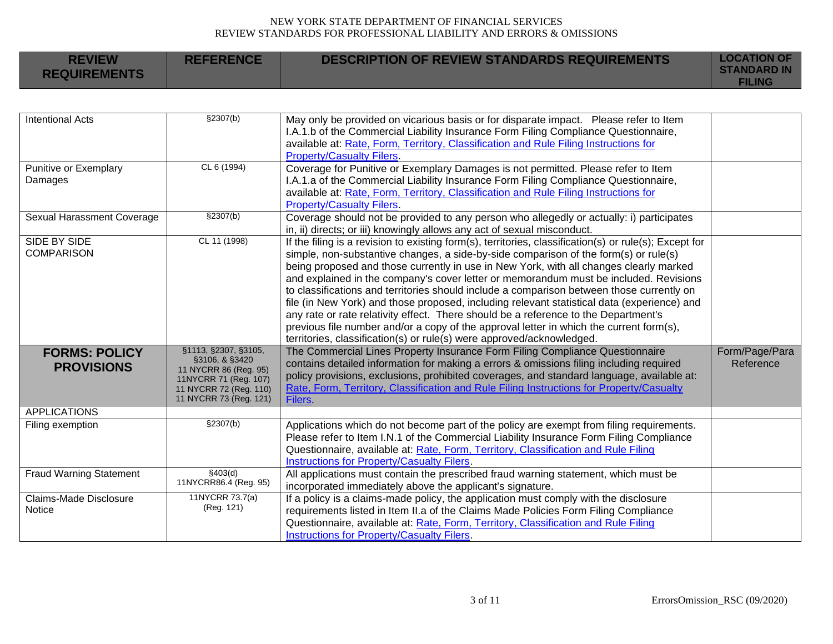| <b>REVIEW</b><br><b>REQUIREMENTS</b>      | <b>REFERENCE</b>                                                                                                                             | <b>DESCRIPTION OF REVIEW STANDARDS REQUIREMENTS</b>                                                                                                                                                                                                                                                                                                                                                                                                                                                                                                                                                                                                                                                                                                                                                                                      | <b>LOCATION OF</b><br><b>STANDARD IN</b><br><b>FILING</b> |
|-------------------------------------------|----------------------------------------------------------------------------------------------------------------------------------------------|------------------------------------------------------------------------------------------------------------------------------------------------------------------------------------------------------------------------------------------------------------------------------------------------------------------------------------------------------------------------------------------------------------------------------------------------------------------------------------------------------------------------------------------------------------------------------------------------------------------------------------------------------------------------------------------------------------------------------------------------------------------------------------------------------------------------------------------|-----------------------------------------------------------|
|                                           |                                                                                                                                              |                                                                                                                                                                                                                                                                                                                                                                                                                                                                                                                                                                                                                                                                                                                                                                                                                                          |                                                           |
| <b>Intentional Acts</b>                   | \$2307(b)                                                                                                                                    | May only be provided on vicarious basis or for disparate impact.  Please refer to Item<br>I.A.1.b of the Commercial Liability Insurance Form Filing Compliance Questionnaire,<br>available at: Rate, Form, Territory, Classification and Rule Filing Instructions for<br><b>Property/Casualty Filers.</b>                                                                                                                                                                                                                                                                                                                                                                                                                                                                                                                                |                                                           |
| <b>Punitive or Exemplary</b><br>Damages   | CL 6 (1994)                                                                                                                                  | Coverage for Punitive or Exemplary Damages is not permitted. Please refer to Item<br>I.A.1.a of the Commercial Liability Insurance Form Filing Compliance Questionnaire,<br>available at: Rate, Form, Territory, Classification and Rule Filing Instructions for<br><b>Property/Casualty Filers.</b>                                                                                                                                                                                                                                                                                                                                                                                                                                                                                                                                     |                                                           |
| Sexual Harassment Coverage                | \$2307(b)                                                                                                                                    | Coverage should not be provided to any person who allegedly or actually: i) participates<br>in, ii) directs; or iii) knowingly allows any act of sexual misconduct.                                                                                                                                                                                                                                                                                                                                                                                                                                                                                                                                                                                                                                                                      |                                                           |
| <b>SIDE BY SIDE</b><br><b>COMPARISON</b>  | CL 11 (1998)                                                                                                                                 | If the filing is a revision to existing form(s), territories, classification(s) or rule(s); Except for<br>simple, non-substantive changes, a side-by-side comparison of the form(s) or rule(s)<br>being proposed and those currently in use in New York, with all changes clearly marked<br>and explained in the company's cover letter or memorandum must be included. Revisions<br>to classifications and territories should include a comparison between those currently on<br>file (in New York) and those proposed, including relevant statistical data (experience) and<br>any rate or rate relativity effect. There should be a reference to the Department's<br>previous file number and/or a copy of the approval letter in which the current form(s),<br>territories, classification(s) or rule(s) were approved/acknowledged. |                                                           |
| <b>FORMS: POLICY</b><br><b>PROVISIONS</b> | §1113, §2307, §3105,<br>§3106, & §3420<br>11 NYCRR 86 (Reg. 95)<br>11NYCRR 71 (Reg. 107)<br>11 NYCRR 72 (Reg. 110)<br>11 NYCRR 73 (Reg. 121) | The Commercial Lines Property Insurance Form Filing Compliance Questionnaire<br>contains detailed information for making a errors & omissions filing including required<br>policy provisions, exclusions, prohibited coverages, and standard language, available at:<br>Rate, Form, Territory, Classification and Rule Filing Instructions for Property/Casualty<br>Filers                                                                                                                                                                                                                                                                                                                                                                                                                                                               | Form/Page/Para<br>Reference                               |
| <b>APPLICATIONS</b>                       |                                                                                                                                              |                                                                                                                                                                                                                                                                                                                                                                                                                                                                                                                                                                                                                                                                                                                                                                                                                                          |                                                           |
| Filing exemption                          | \$2307(b)                                                                                                                                    | Applications which do not become part of the policy are exempt from filing requirements.<br>Please refer to Item I.N.1 of the Commercial Liability Insurance Form Filing Compliance<br>Questionnaire, available at: Rate, Form, Territory, Classification and Rule Filing<br><b>Instructions for Property/Casualty Filers.</b>                                                                                                                                                                                                                                                                                                                                                                                                                                                                                                           |                                                           |
| <b>Fraud Warning Statement</b>            | \$403(d)<br>11NYCRR86.4 (Reg. 95)                                                                                                            | All applications must contain the prescribed fraud warning statement, which must be<br>incorporated immediately above the applicant's signature.                                                                                                                                                                                                                                                                                                                                                                                                                                                                                                                                                                                                                                                                                         |                                                           |
| Claims-Made Disclosure<br><b>Notice</b>   | 11NYCRR 73.7(a)<br>(Reg. 121)                                                                                                                | If a policy is a claims-made policy, the application must comply with the disclosure<br>requirements listed in Item II.a of the Claims Made Policies Form Filing Compliance<br>Questionnaire, available at: Rate, Form, Territory, Classification and Rule Filing<br><b>Instructions for Property/Casualty Filers.</b>                                                                                                                                                                                                                                                                                                                                                                                                                                                                                                                   |                                                           |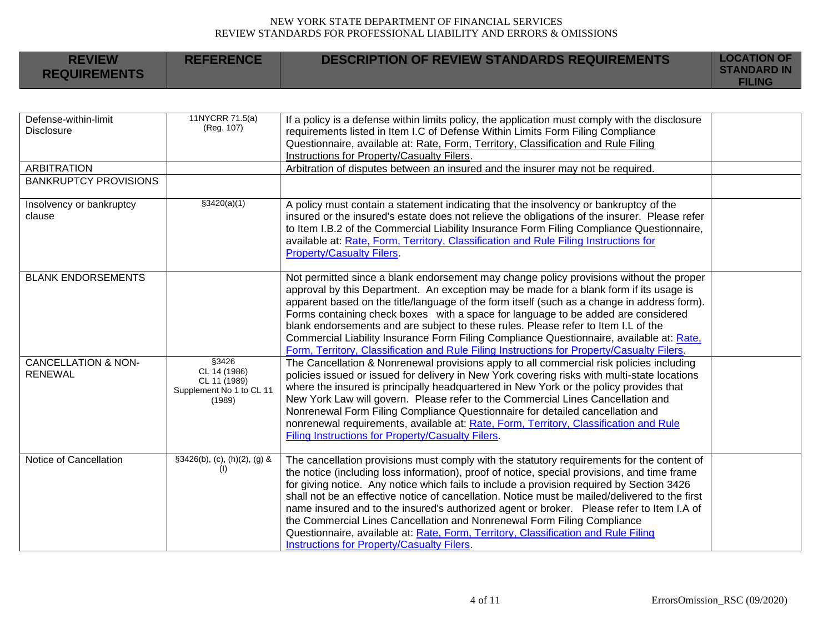| <b>REVIEW</b><br><b>REQUIREMENTS</b>             | <b>REFERENCE</b>                                                            | <b>DESCRIPTION OF REVIEW STANDARDS REQUIREMENTS</b>                                                                                                                                                                                                                                                                                                                                                                                                                                                                                                                                                                                                                                                    | <b>LOCATION OF</b><br><b>STANDARD IN</b><br><b>FILING</b> |
|--------------------------------------------------|-----------------------------------------------------------------------------|--------------------------------------------------------------------------------------------------------------------------------------------------------------------------------------------------------------------------------------------------------------------------------------------------------------------------------------------------------------------------------------------------------------------------------------------------------------------------------------------------------------------------------------------------------------------------------------------------------------------------------------------------------------------------------------------------------|-----------------------------------------------------------|
|                                                  |                                                                             |                                                                                                                                                                                                                                                                                                                                                                                                                                                                                                                                                                                                                                                                                                        |                                                           |
| Defense-within-limit<br><b>Disclosure</b>        | 11NYCRR 71.5(a)<br>(Reg. 107)                                               | If a policy is a defense within limits policy, the application must comply with the disclosure<br>requirements listed in Item I.C of Defense Within Limits Form Filing Compliance<br>Questionnaire, available at: Rate, Form, Territory, Classification and Rule Filing<br>Instructions for Property/Casualty Filers.                                                                                                                                                                                                                                                                                                                                                                                  |                                                           |
| <b>ARBITRATION</b>                               |                                                                             | Arbitration of disputes between an insured and the insurer may not be required.                                                                                                                                                                                                                                                                                                                                                                                                                                                                                                                                                                                                                        |                                                           |
| <b>BANKRUPTCY PROVISIONS</b>                     |                                                                             |                                                                                                                                                                                                                                                                                                                                                                                                                                                                                                                                                                                                                                                                                                        |                                                           |
| Insolvency or bankruptcy<br>clause               | \$3420(a)(1)                                                                | A policy must contain a statement indicating that the insolvency or bankruptcy of the<br>insured or the insured's estate does not relieve the obligations of the insurer. Please refer<br>to Item I.B.2 of the Commercial Liability Insurance Form Filing Compliance Questionnaire,<br>available at: Rate, Form, Territory, Classification and Rule Filing Instructions for<br><b>Property/Casualty Filers.</b>                                                                                                                                                                                                                                                                                        |                                                           |
| <b>BLANK ENDORSEMENTS</b>                        |                                                                             | Not permitted since a blank endorsement may change policy provisions without the proper<br>approval by this Department. An exception may be made for a blank form if its usage is<br>apparent based on the title/language of the form itself (such as a change in address form).<br>Forms containing check boxes with a space for language to be added are considered<br>blank endorsements and are subject to these rules. Please refer to Item I.L of the<br>Commercial Liability Insurance Form Filing Compliance Questionnaire, available at: Rate,<br>Form, Territory, Classification and Rule Filing Instructions for Property/Casualty Filers.                                                  |                                                           |
| <b>CANCELLATION &amp; NON-</b><br><b>RENEWAL</b> | §3426<br>CL 14 (1986)<br>CL 11 (1989)<br>Supplement No 1 to CL 11<br>(1989) | The Cancellation & Nonrenewal provisions apply to all commercial risk policies including<br>policies issued or issued for delivery in New York covering risks with multi-state locations<br>where the insured is principally headquartered in New York or the policy provides that<br>New York Law will govern. Please refer to the Commercial Lines Cancellation and<br>Nonrenewal Form Filing Compliance Questionnaire for detailed cancellation and<br>nonrenewal requirements, available at: Rate, Form, Territory, Classification and Rule<br>Filing Instructions for Property/Casualty Filers.                                                                                                   |                                                           |
| Notice of Cancellation                           | $§3426(b), (c), (h)(2), (g)$ &<br>(1)                                       | The cancellation provisions must comply with the statutory requirements for the content of<br>the notice (including loss information), proof of notice, special provisions, and time frame<br>for giving notice. Any notice which fails to include a provision required by Section 3426<br>shall not be an effective notice of cancellation. Notice must be mailed/delivered to the first<br>name insured and to the insured's authorized agent or broker.  Please refer to Item I.A of<br>the Commercial Lines Cancellation and Nonrenewal Form Filing Compliance<br>Questionnaire, available at: Rate, Form, Territory, Classification and Rule Filing<br>Instructions for Property/Casualty Filers. |                                                           |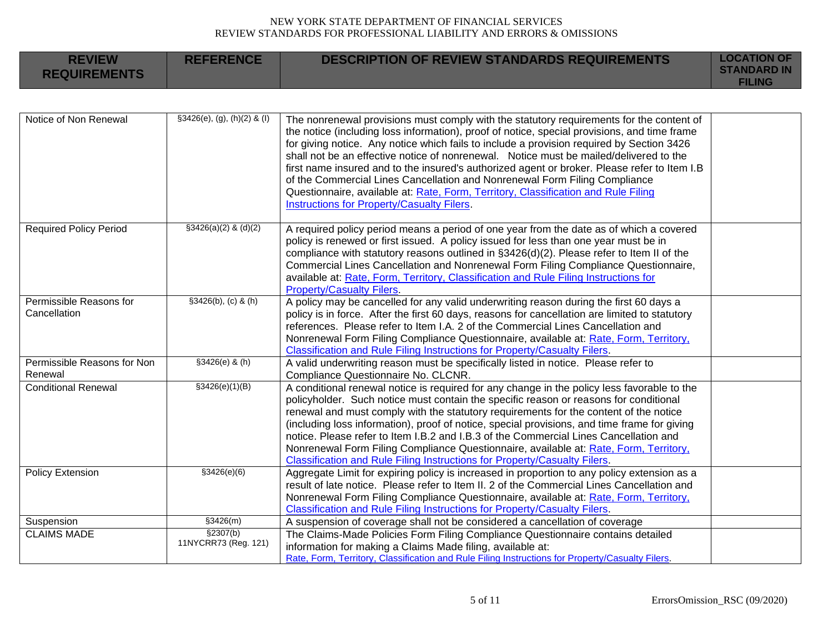| <b>REVIEW</b><br><b>REQUIREMENTS</b>    | <b>REFERENCE</b>                  | <b>DESCRIPTION OF REVIEW STANDARDS REQUIREMENTS</b>                                                                                                                                                                                                                                                                                                                                                                                                                                                                                                                                                                                                                                                      | <b>LOCATION OF</b><br><b>STANDARD IN</b><br><b>FILING</b> |
|-----------------------------------------|-----------------------------------|----------------------------------------------------------------------------------------------------------------------------------------------------------------------------------------------------------------------------------------------------------------------------------------------------------------------------------------------------------------------------------------------------------------------------------------------------------------------------------------------------------------------------------------------------------------------------------------------------------------------------------------------------------------------------------------------------------|-----------------------------------------------------------|
|                                         |                                   |                                                                                                                                                                                                                                                                                                                                                                                                                                                                                                                                                                                                                                                                                                          |                                                           |
| Notice of Non Renewal                   | $§3426(e), (g), (h)(2)$ & (l)     | The nonrenewal provisions must comply with the statutory requirements for the content of<br>the notice (including loss information), proof of notice, special provisions, and time frame<br>for giving notice. Any notice which fails to include a provision required by Section 3426<br>shall not be an effective notice of nonrenewal. Notice must be mailed/delivered to the<br>first name insured and to the insured's authorized agent or broker. Please refer to Item I.B<br>of the Commercial Lines Cancellation and Nonrenewal Form Filing Compliance<br>Questionnaire, available at: Rate, Form, Territory, Classification and Rule Filing<br><b>Instructions for Property/Casualty Filers.</b> |                                                           |
| <b>Required Policy Period</b>           | $$3426(a)(2)$ & (d)(2)            | A required policy period means a period of one year from the date as of which a covered<br>policy is renewed or first issued. A policy issued for less than one year must be in<br>compliance with statutory reasons outlined in §3426(d)(2). Please refer to Item II of the<br>Commercial Lines Cancellation and Nonrenewal Form Filing Compliance Questionnaire,<br>available at: Rate, Form, Territory, Classification and Rule Filing Instructions for<br><b>Property/Casualty Filers.</b>                                                                                                                                                                                                           |                                                           |
| Permissible Reasons for<br>Cancellation | $$3426(b), (c)$ & (h)             | A policy may be cancelled for any valid underwriting reason during the first 60 days a<br>policy is in force. After the first 60 days, reasons for cancellation are limited to statutory<br>references. Please refer to Item I.A. 2 of the Commercial Lines Cancellation and<br>Nonrenewal Form Filing Compliance Questionnaire, available at: Rate, Form, Territory,<br>Classification and Rule Filing Instructions for Property/Casualty Filers.                                                                                                                                                                                                                                                       |                                                           |
| Permissible Reasons for Non<br>Renewal  | $$3426(e)$ & (h)                  | A valid underwriting reason must be specifically listed in notice. Please refer to<br>Compliance Questionnaire No. CLCNR.                                                                                                                                                                                                                                                                                                                                                                                                                                                                                                                                                                                |                                                           |
| <b>Conditional Renewal</b>              | \$3426(e)(1)(B)                   | A conditional renewal notice is required for any change in the policy less favorable to the<br>policyholder. Such notice must contain the specific reason or reasons for conditional<br>renewal and must comply with the statutory requirements for the content of the notice<br>(including loss information), proof of notice, special provisions, and time frame for giving<br>notice. Please refer to Item I.B.2 and I.B.3 of the Commercial Lines Cancellation and<br>Nonrenewal Form Filing Compliance Questionnaire, available at: Rate, Form, Territory,<br>Classification and Rule Filing Instructions for Property/Casualty Filers.                                                             |                                                           |
| Policy Extension                        | \$3426(e)(6)                      | Aggregate Limit for expiring policy is increased in proportion to any policy extension as a<br>result of late notice. Please refer to Item II. 2 of the Commercial Lines Cancellation and<br>Nonrenewal Form Filing Compliance Questionnaire, available at: Rate, Form, Territory,<br>Classification and Rule Filing Instructions for Property/Casualty Filers.                                                                                                                                                                                                                                                                                                                                          |                                                           |
| Suspension                              | \$3426(m)                         | A suspension of coverage shall not be considered a cancellation of coverage                                                                                                                                                                                                                                                                                                                                                                                                                                                                                                                                                                                                                              |                                                           |
| <b>CLAIMS MADE</b>                      | \$2307(b)<br>11NYCRR73 (Reg. 121) | The Claims-Made Policies Form Filing Compliance Questionnaire contains detailed<br>information for making a Claims Made filing, available at:<br>Rate, Form, Territory, Classification and Rule Filing Instructions for Property/Casualty Filers.                                                                                                                                                                                                                                                                                                                                                                                                                                                        |                                                           |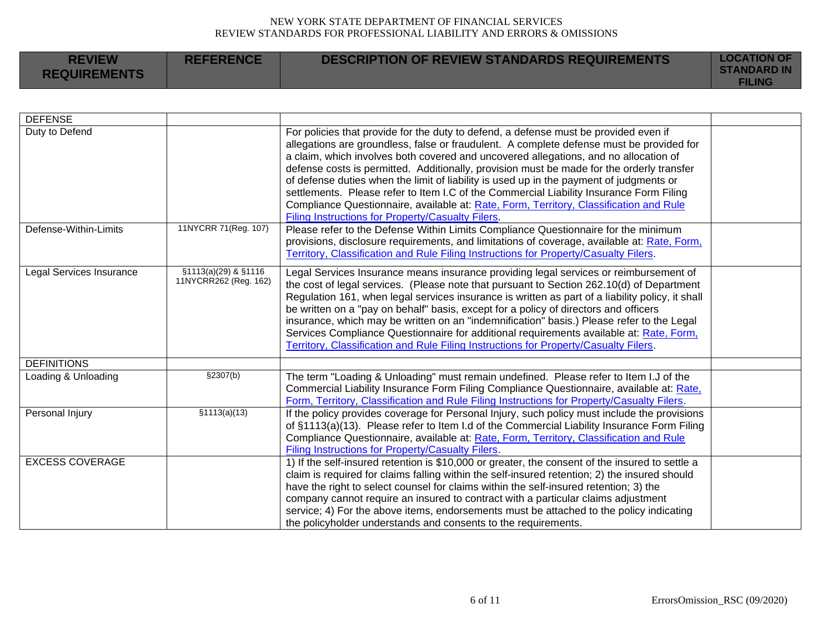| <b>REVIEW</b><br><b>REQUIREMENTS</b> | <b>REFERENCE</b> | <b>DESCRIPTION OF REVIEW STANDARDS REQUIREMENTS</b>                                                                                                                                                                                                                                               | <b>LOCATION OF</b><br><b>STANDARD IN</b><br><b>FILING</b> |
|--------------------------------------|------------------|---------------------------------------------------------------------------------------------------------------------------------------------------------------------------------------------------------------------------------------------------------------------------------------------------|-----------------------------------------------------------|
|                                      |                  |                                                                                                                                                                                                                                                                                                   |                                                           |
| <b>DEFENSE</b>                       |                  |                                                                                                                                                                                                                                                                                                   |                                                           |
| Duty to Defend                       |                  | For policies that provide for the duty to defend, a defense must be provided even if<br>allegations are groundless, false or fraudulent. A complete defense must be provided for<br>ألمر ويقلعهم والمرمور امورم الموصول والمسمر بممورز الموم المعمريمم والممل ممر رامزيون وامتوازر الموتوام لمراح |                                                           |

|                          |                                                 | alicyations are groundless, raise or fraudulent. A complete deferise must be provided for<br>a claim, which involves both covered and uncovered allegations, and no allocation of<br>defense costs is permitted. Additionally, provision must be made for the orderly transfer<br>of defense duties when the limit of liability is used up in the payment of judgments or<br>settlements. Please refer to Item I.C of the Commercial Liability Insurance Form Filing<br>Compliance Questionnaire, available at: Rate, Form, Territory, Classification and Rule<br>Filing Instructions for Property/Casualty Filers.                                            |  |
|--------------------------|-------------------------------------------------|----------------------------------------------------------------------------------------------------------------------------------------------------------------------------------------------------------------------------------------------------------------------------------------------------------------------------------------------------------------------------------------------------------------------------------------------------------------------------------------------------------------------------------------------------------------------------------------------------------------------------------------------------------------|--|
| Defense-Within-Limits    | 11NYCRR 71(Reg. 107)                            | Please refer to the Defense Within Limits Compliance Questionnaire for the minimum<br>provisions, disclosure requirements, and limitations of coverage, available at: Rate, Form,<br>Territory, Classification and Rule Filing Instructions for Property/Casualty Filers.                                                                                                                                                                                                                                                                                                                                                                                      |  |
| Legal Services Insurance | $\sqrt{(29)}$ & \$1116<br>11NYCRR262 (Reg. 162) | Legal Services Insurance means insurance providing legal services or reimbursement of<br>the cost of legal services. (Please note that pursuant to Section 262.10(d) of Department<br>Regulation 161, when legal services insurance is written as part of a liability policy, it shall<br>be written on a "pay on behalf" basis, except for a policy of directors and officers<br>insurance, which may be written on an "indemnification" basis.) Please refer to the Legal<br>Services Compliance Questionnaire for additional requirements available at: Rate, Form,<br>Territory, Classification and Rule Filing Instructions for Property/Casualty Filers. |  |
| <b>DEFINITIONS</b>       |                                                 |                                                                                                                                                                                                                                                                                                                                                                                                                                                                                                                                                                                                                                                                |  |
| Loading & Unloading      | \$2307(b)                                       | The term "Loading & Unloading" must remain undefined. Please refer to Item I.J of the<br>Commercial Liability Insurance Form Filing Compliance Questionnaire, available at: Rate,<br>Form, Territory, Classification and Rule Filing Instructions for Property/Casualty Filers.                                                                                                                                                                                                                                                                                                                                                                                |  |
| Personal Injury          | \$1113(a)(13)                                   | If the policy provides coverage for Personal Injury, such policy must include the provisions<br>of §1113(a)(13). Please refer to Item I.d of the Commercial Liability Insurance Form Filing<br>Compliance Questionnaire, available at: Rate, Form, Territory, Classification and Rule<br>Filing Instructions for Property/Casualty Filers.                                                                                                                                                                                                                                                                                                                     |  |
| <b>EXCESS COVERAGE</b>   |                                                 | 1) If the self-insured retention is \$10,000 or greater, the consent of the insured to settle a<br>claim is required for claims falling within the self-insured retention; 2) the insured should<br>have the right to select counsel for claims within the self-insured retention; 3) the<br>company cannot require an insured to contract with a particular claims adjustment<br>service; 4) For the above items, endorsements must be attached to the policy indicating<br>the policyholder understands and consents to the requirements.                                                                                                                    |  |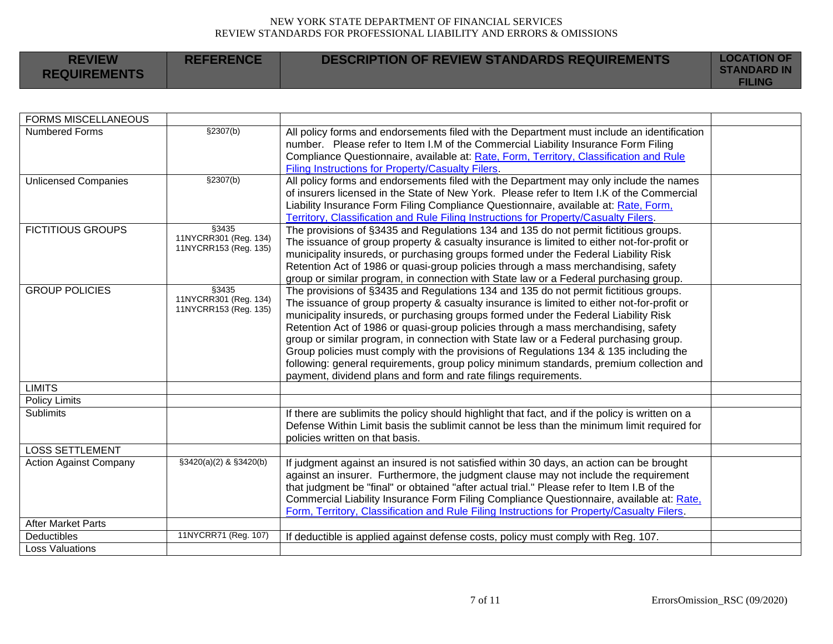| <b>REVIEW</b><br><b>REQUIREMENTS</b> | <b>REFERENCE</b> | <b>DESCRIPTION OF REVIEW STANDARDS REQUIREMENTS</b> | <b>LOCATION OF</b><br><b>STANDARD IN</b><br><b>FILING</b> |
|--------------------------------------|------------------|-----------------------------------------------------|-----------------------------------------------------------|
|                                      |                  |                                                     |                                                           |

| <b>FORMS MISCELLANEOUS</b>    |                                                         |                                                                                                                                                                                                                                                                                                                                                                                                                                                                                                                                                                                                                                                                                                                 |  |
|-------------------------------|---------------------------------------------------------|-----------------------------------------------------------------------------------------------------------------------------------------------------------------------------------------------------------------------------------------------------------------------------------------------------------------------------------------------------------------------------------------------------------------------------------------------------------------------------------------------------------------------------------------------------------------------------------------------------------------------------------------------------------------------------------------------------------------|--|
| Numbered Forms                | \$2307(b)                                               | All policy forms and endorsements filed with the Department must include an identification<br>number. Please refer to Item I.M of the Commercial Liability Insurance Form Filing<br>Compliance Questionnaire, available at: Rate, Form, Territory, Classification and Rule<br>Filing Instructions for Property/Casualty Filers                                                                                                                                                                                                                                                                                                                                                                                  |  |
| <b>Unlicensed Companies</b>   | \$2307(b)                                               | All policy forms and endorsements filed with the Department may only include the names<br>of insurers licensed in the State of New York. Please refer to Item I.K of the Commercial<br>Liability Insurance Form Filing Compliance Questionnaire, available at: Rate, Form,<br>Territory, Classification and Rule Filing Instructions for Property/Casualty Filers.                                                                                                                                                                                                                                                                                                                                              |  |
| <b>FICTITIOUS GROUPS</b>      | §3435<br>11NYCRR301 (Reg. 134)<br>11NYCRR153 (Reg. 135) | The provisions of §3435 and Regulations 134 and 135 do not permit fictitious groups.<br>The issuance of group property & casualty insurance is limited to either not-for-profit or<br>municipality insureds, or purchasing groups formed under the Federal Liability Risk<br>Retention Act of 1986 or quasi-group policies through a mass merchandising, safety<br>group or similar program, in connection with State law or a Federal purchasing group.                                                                                                                                                                                                                                                        |  |
| <b>GROUP POLICIES</b>         | §3435<br>11NYCRR301 (Reg. 134)<br>11NYCRR153 (Reg. 135) | The provisions of §3435 and Regulations 134 and 135 do not permit fictitious groups.<br>The issuance of group property & casualty insurance is limited to either not-for-profit or<br>municipality insureds, or purchasing groups formed under the Federal Liability Risk<br>Retention Act of 1986 or quasi-group policies through a mass merchandising, safety<br>group or similar program, in connection with State law or a Federal purchasing group.<br>Group policies must comply with the provisions of Regulations 134 & 135 including the<br>following: general requirements, group policy minimum standards, premium collection and<br>payment, dividend plans and form and rate filings requirements. |  |
| <b>LIMITS</b>                 |                                                         |                                                                                                                                                                                                                                                                                                                                                                                                                                                                                                                                                                                                                                                                                                                 |  |
| <b>Policy Limits</b>          |                                                         |                                                                                                                                                                                                                                                                                                                                                                                                                                                                                                                                                                                                                                                                                                                 |  |
| <b>Sublimits</b>              |                                                         | If there are sublimits the policy should highlight that fact, and if the policy is written on a<br>Defense Within Limit basis the sublimit cannot be less than the minimum limit required for<br>policies written on that basis.                                                                                                                                                                                                                                                                                                                                                                                                                                                                                |  |
| <b>LOSS SETTLEMENT</b>        |                                                         |                                                                                                                                                                                                                                                                                                                                                                                                                                                                                                                                                                                                                                                                                                                 |  |
| <b>Action Against Company</b> | $\S3420(a)(2)$ & $\S3420(b)$                            | If judgment against an insured is not satisfied within 30 days, an action can be brought<br>against an insurer. Furthermore, the judgment clause may not include the requirement<br>that judgment be "final" or obtained "after actual trial." Please refer to Item I.B of the<br>Commercial Liability Insurance Form Filing Compliance Questionnaire, available at: Rate,<br>Form, Territory, Classification and Rule Filing Instructions for Property/Casualty Filers.                                                                                                                                                                                                                                        |  |
| <b>After Market Parts</b>     |                                                         |                                                                                                                                                                                                                                                                                                                                                                                                                                                                                                                                                                                                                                                                                                                 |  |
| <b>Deductibles</b>            | 11NYCRR71 (Reg. 107)                                    | If deductible is applied against defense costs, policy must comply with Reg. 107.                                                                                                                                                                                                                                                                                                                                                                                                                                                                                                                                                                                                                               |  |
| <b>Loss Valuations</b>        |                                                         |                                                                                                                                                                                                                                                                                                                                                                                                                                                                                                                                                                                                                                                                                                                 |  |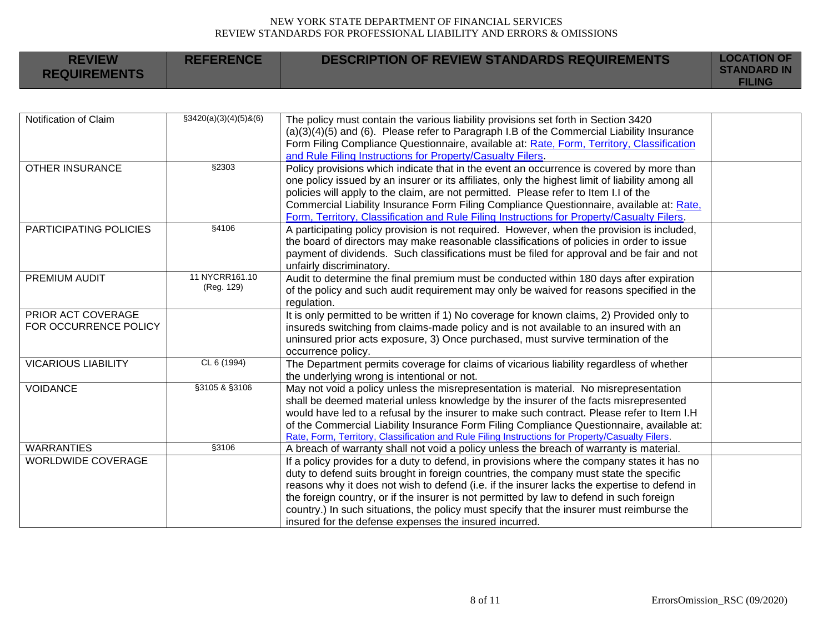| <b>REVIEW</b>                                  | <b>REFERENCE</b>         | <b>DESCRIPTION OF REVIEW STANDARDS REQUIREMENTS</b>                                                                                                                                   | <b>LOCATION OF</b> |
|------------------------------------------------|--------------------------|---------------------------------------------------------------------------------------------------------------------------------------------------------------------------------------|--------------------|
| <b>REQUIREMENTS</b>                            |                          |                                                                                                                                                                                       | <b>STANDARD IN</b> |
|                                                |                          |                                                                                                                                                                                       | <b>FILING</b>      |
|                                                |                          |                                                                                                                                                                                       |                    |
| Notification of Claim                          | $$3420(a)(3)(4)(5)$ &(6) | The policy must contain the various liability provisions set forth in Section 3420                                                                                                    |                    |
|                                                |                          | $(a)(3)(4)(5)$ and $(6)$ . Please refer to Paragraph I.B of the Commercial Liability Insurance                                                                                        |                    |
|                                                |                          | Form Filing Compliance Questionnaire, available at: Rate, Form, Territory, Classification                                                                                             |                    |
|                                                |                          | and Rule Filing Instructions for Property/Casualty Filers.                                                                                                                            |                    |
| <b>OTHER INSURANCE</b>                         | §2303                    | Policy provisions which indicate that in the event an occurrence is covered by more than                                                                                              |                    |
|                                                |                          | one policy issued by an insurer or its affiliates, only the highest limit of liability among all                                                                                      |                    |
|                                                |                          | policies will apply to the claim, are not permitted. Please refer to Item I.I of the                                                                                                  |                    |
|                                                |                          | Commercial Liability Insurance Form Filing Compliance Questionnaire, available at: Rate,                                                                                              |                    |
|                                                |                          | Form, Territory, Classification and Rule Filing Instructions for Property/Casualty Filers.                                                                                            |                    |
| PARTICIPATING POLICIES                         | §4106                    | A participating policy provision is not required. However, when the provision is included,                                                                                            |                    |
|                                                |                          | the board of directors may make reasonable classifications of policies in order to issue                                                                                              |                    |
|                                                |                          | payment of dividends. Such classifications must be filed for approval and be fair and not                                                                                             |                    |
| <b>PREMIUM AUDIT</b>                           | 11 NYCRR161.10           | unfairly discriminatory.                                                                                                                                                              |                    |
|                                                | (Reg. 129)               | Audit to determine the final premium must be conducted within 180 days after expiration<br>of the policy and such audit requirement may only be waived for reasons specified in the   |                    |
|                                                |                          | regulation.                                                                                                                                                                           |                    |
| PRIOR ACT COVERAGE                             |                          | It is only permitted to be written if 1) No coverage for known claims, 2) Provided only to                                                                                            |                    |
| FOR OCCURRENCE POLICY                          |                          | insureds switching from claims-made policy and is not available to an insured with an                                                                                                 |                    |
|                                                |                          | uninsured prior acts exposure, 3) Once purchased, must survive termination of the                                                                                                     |                    |
|                                                |                          | occurrence policy.                                                                                                                                                                    |                    |
| <b>VICARIOUS LIABILITY</b>                     | CL 6 (1994)              | The Department permits coverage for claims of vicarious liability regardless of whether                                                                                               |                    |
|                                                |                          | the underlying wrong is intentional or not.                                                                                                                                           |                    |
| <b>VOIDANCE</b>                                | §3105 & §3106            | May not void a policy unless the misrepresentation is material. No misrepresentation                                                                                                  |                    |
|                                                |                          | shall be deemed material unless knowledge by the insurer of the facts misrepresented                                                                                                  |                    |
|                                                |                          | would have led to a refusal by the insurer to make such contract. Please refer to Item I.H                                                                                            |                    |
|                                                |                          | of the Commercial Liability Insurance Form Filing Compliance Questionnaire, available at:                                                                                             |                    |
|                                                |                          | Rate, Form, Territory, Classification and Rule Filing Instructions for Property/Casualty Filers.                                                                                      |                    |
| <b>WARRANTIES</b><br><b>WORLDWIDE COVERAGE</b> | §3106                    | A breach of warranty shall not void a policy unless the breach of warranty is material.                                                                                               |                    |
|                                                |                          | If a policy provides for a duty to defend, in provisions where the company states it has no<br>duty to defend suits brought in foreign countries, the company must state the specific |                    |
|                                                |                          | reasons why it does not wish to defend (i.e. if the insurer lacks the expertise to defend in                                                                                          |                    |
|                                                |                          | the foreign country, or if the insurer is not permitted by law to defend in such foreign                                                                                              |                    |
|                                                |                          | country.) In such situations, the policy must specify that the insurer must reimburse the                                                                                             |                    |
|                                                |                          | insured for the defense expenses the insured incurred.                                                                                                                                |                    |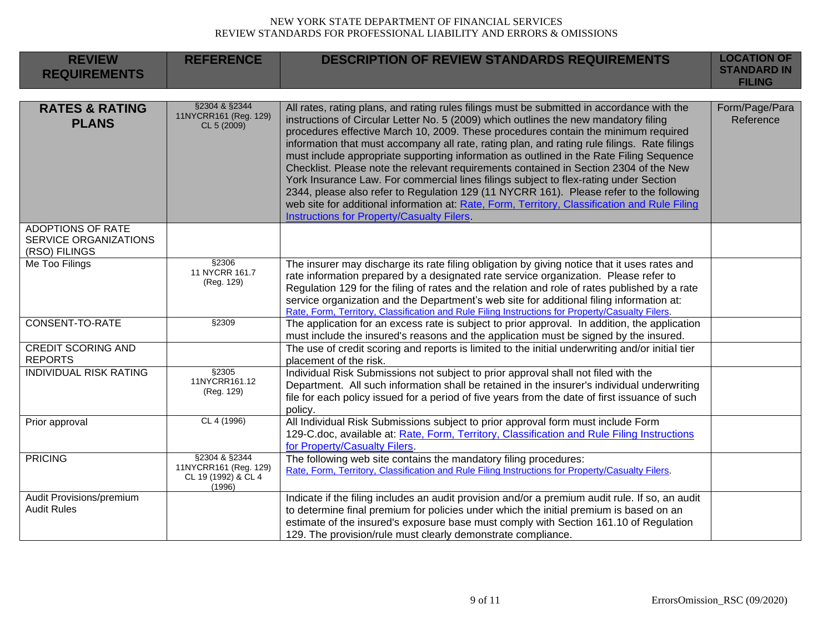| <b>REVIEW</b><br><b>REQUIREMENTS</b>                               | <b>REFERENCE</b>                                                        | <b>DESCRIPTION OF REVIEW STANDARDS REQUIREMENTS</b>                                                                                                                                                                                                                                                                                                                                                                                                                                                                                                                                                                                                                                                                                                                                                                                                                                             | <b>LOCATION OF</b><br><b>STANDARD IN</b><br><b>FILING</b> |
|--------------------------------------------------------------------|-------------------------------------------------------------------------|-------------------------------------------------------------------------------------------------------------------------------------------------------------------------------------------------------------------------------------------------------------------------------------------------------------------------------------------------------------------------------------------------------------------------------------------------------------------------------------------------------------------------------------------------------------------------------------------------------------------------------------------------------------------------------------------------------------------------------------------------------------------------------------------------------------------------------------------------------------------------------------------------|-----------------------------------------------------------|
|                                                                    |                                                                         |                                                                                                                                                                                                                                                                                                                                                                                                                                                                                                                                                                                                                                                                                                                                                                                                                                                                                                 |                                                           |
| <b>RATES &amp; RATING</b><br><b>PLANS</b>                          | §2304 & §2344<br>11NYCRR161 (Reg. 129)<br>CL 5 (2009)                   | All rates, rating plans, and rating rules filings must be submitted in accordance with the<br>instructions of Circular Letter No. 5 (2009) which outlines the new mandatory filing<br>procedures effective March 10, 2009. These procedures contain the minimum required<br>information that must accompany all rate, rating plan, and rating rule filings. Rate filings<br>must include appropriate supporting information as outlined in the Rate Filing Sequence<br>Checklist. Please note the relevant requirements contained in Section 2304 of the New<br>York Insurance Law. For commercial lines filings subject to flex-rating under Section<br>2344, please also refer to Regulation 129 (11 NYCRR 161). Please refer to the following<br>web site for additional information at: Rate, Form, Territory, Classification and Rule Filing<br>Instructions for Property/Casualty Filers. | Form/Page/Para<br>Reference                               |
| <b>ADOPTIONS OF RATE</b><br>SERVICE ORGANIZATIONS<br>(RSO) FILINGS |                                                                         |                                                                                                                                                                                                                                                                                                                                                                                                                                                                                                                                                                                                                                                                                                                                                                                                                                                                                                 |                                                           |
| Me Too Filings                                                     | §2306<br>11 NYCRR 161.7<br>(Reg. 129)                                   | The insurer may discharge its rate filing obligation by giving notice that it uses rates and<br>rate information prepared by a designated rate service organization. Please refer to<br>Regulation 129 for the filing of rates and the relation and role of rates published by a rate<br>service organization and the Department's web site for additional filing information at:<br>Rate, Form, Territory, Classification and Rule Filing Instructions for Property/Casualty Filers.                                                                                                                                                                                                                                                                                                                                                                                                           |                                                           |
| <b>CONSENT-TO-RATE</b>                                             | §2309                                                                   | The application for an excess rate is subject to prior approval. In addition, the application<br>must include the insured's reasons and the application must be signed by the insured.                                                                                                                                                                                                                                                                                                                                                                                                                                                                                                                                                                                                                                                                                                          |                                                           |
| <b>CREDIT SCORING AND</b><br><b>REPORTS</b>                        |                                                                         | The use of credit scoring and reports is limited to the initial underwriting and/or initial tier<br>placement of the risk.                                                                                                                                                                                                                                                                                                                                                                                                                                                                                                                                                                                                                                                                                                                                                                      |                                                           |
| <b>INDIVIDUAL RISK RATING</b>                                      | \$2305<br>11NYCRR161.12<br>(Reg. 129)                                   | Individual Risk Submissions not subject to prior approval shall not filed with the<br>Department. All such information shall be retained in the insurer's individual underwriting<br>file for each policy issued for a period of five years from the date of first issuance of such<br>policy.                                                                                                                                                                                                                                                                                                                                                                                                                                                                                                                                                                                                  |                                                           |
| Prior approval                                                     | CL 4 (1996)                                                             | All Individual Risk Submissions subject to prior approval form must include Form<br>129-C.doc, available at: Rate, Form, Territory, Classification and Rule Filing Instructions<br>for Property/Casualty Filers.                                                                                                                                                                                                                                                                                                                                                                                                                                                                                                                                                                                                                                                                                |                                                           |
| <b>PRICING</b>                                                     | §2304 & §2344<br>11NYCRR161 (Reg. 129)<br>CL 19 (1992) & CL 4<br>(1996) | The following web site contains the mandatory filing procedures:<br>Rate, Form, Territory, Classification and Rule Filing Instructions for Property/Casualty Filers.                                                                                                                                                                                                                                                                                                                                                                                                                                                                                                                                                                                                                                                                                                                            |                                                           |
| Audit Provisions/premium<br><b>Audit Rules</b>                     |                                                                         | Indicate if the filing includes an audit provision and/or a premium audit rule. If so, an audit<br>to determine final premium for policies under which the initial premium is based on an<br>estimate of the insured's exposure base must comply with Section 161.10 of Regulation<br>129. The provision/rule must clearly demonstrate compliance.                                                                                                                                                                                                                                                                                                                                                                                                                                                                                                                                              |                                                           |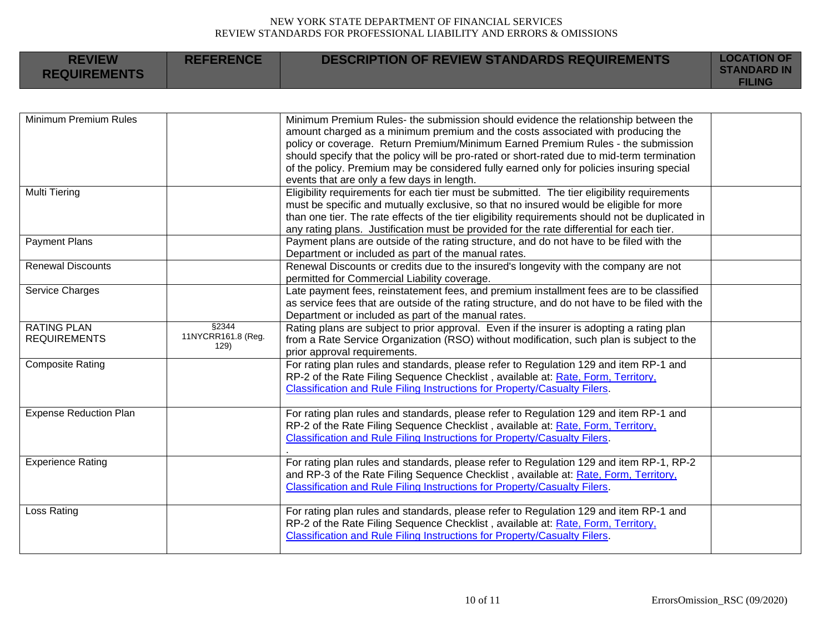| <b>REVIEW</b><br><b>REQUIREMENTS</b>      | <b>REFERENCE</b>                    | <b>DESCRIPTION OF REVIEW STANDARDS REQUIREMENTS</b>                                                                                                                                                                                                                                                                                                                                                                                                                                                | <b>LOCATION OF</b><br><b>STANDARD IN</b><br><b>FILING</b> |
|-------------------------------------------|-------------------------------------|----------------------------------------------------------------------------------------------------------------------------------------------------------------------------------------------------------------------------------------------------------------------------------------------------------------------------------------------------------------------------------------------------------------------------------------------------------------------------------------------------|-----------------------------------------------------------|
|                                           |                                     |                                                                                                                                                                                                                                                                                                                                                                                                                                                                                                    |                                                           |
| <b>Minimum Premium Rules</b>              |                                     | Minimum Premium Rules- the submission should evidence the relationship between the<br>amount charged as a minimum premium and the costs associated with producing the<br>policy or coverage. Return Premium/Minimum Earned Premium Rules - the submission<br>should specify that the policy will be pro-rated or short-rated due to mid-term termination<br>of the policy. Premium may be considered fully earned only for policies insuring special<br>events that are only a few days in length. |                                                           |
| <b>Multi Tiering</b>                      |                                     | Eligibility requirements for each tier must be submitted. The tier eligibility requirements<br>must be specific and mutually exclusive, so that no insured would be eligible for more<br>than one tier. The rate effects of the tier eligibility requirements should not be duplicated in<br>any rating plans. Justification must be provided for the rate differential for each tier.                                                                                                             |                                                           |
| <b>Payment Plans</b>                      |                                     | Payment plans are outside of the rating structure, and do not have to be filed with the<br>Department or included as part of the manual rates.                                                                                                                                                                                                                                                                                                                                                     |                                                           |
| <b>Renewal Discounts</b>                  |                                     | Renewal Discounts or credits due to the insured's longevity with the company are not<br>permitted for Commercial Liability coverage.                                                                                                                                                                                                                                                                                                                                                               |                                                           |
| Service Charges                           |                                     | Late payment fees, reinstatement fees, and premium installment fees are to be classified<br>as service fees that are outside of the rating structure, and do not have to be filed with the<br>Department or included as part of the manual rates.                                                                                                                                                                                                                                                  |                                                           |
| <b>RATING PLAN</b><br><b>REQUIREMENTS</b> | §2344<br>11NYCRR161.8 (Reg.<br>129) | Rating plans are subject to prior approval. Even if the insurer is adopting a rating plan<br>from a Rate Service Organization (RSO) without modification, such plan is subject to the<br>prior approval requirements.                                                                                                                                                                                                                                                                              |                                                           |
| <b>Composite Rating</b>                   |                                     | For rating plan rules and standards, please refer to Regulation 129 and item RP-1 and<br>RP-2 of the Rate Filing Sequence Checklist, available at: Rate, Form, Territory,<br>Classification and Rule Filing Instructions for Property/Casualty Filers.                                                                                                                                                                                                                                             |                                                           |
| <b>Expense Reduction Plan</b>             |                                     | For rating plan rules and standards, please refer to Regulation 129 and item RP-1 and<br>RP-2 of the Rate Filing Sequence Checklist, available at: Rate, Form, Territory,<br><b>Classification and Rule Filing Instructions for Property/Casualty Filers.</b>                                                                                                                                                                                                                                      |                                                           |
| Experience Rating                         |                                     | For rating plan rules and standards, please refer to Regulation 129 and item RP-1, RP-2<br>and RP-3 of the Rate Filing Sequence Checklist, available at: Rate, Form, Territory,<br>Classification and Rule Filing Instructions for Property/Casualty Filers.                                                                                                                                                                                                                                       |                                                           |
| Loss Rating                               |                                     | For rating plan rules and standards, please refer to Regulation 129 and item RP-1 and<br>RP-2 of the Rate Filing Sequence Checklist, available at: Rate, Form, Territory,<br>Classification and Rule Filing Instructions for Property/Casualty Filers.                                                                                                                                                                                                                                             |                                                           |